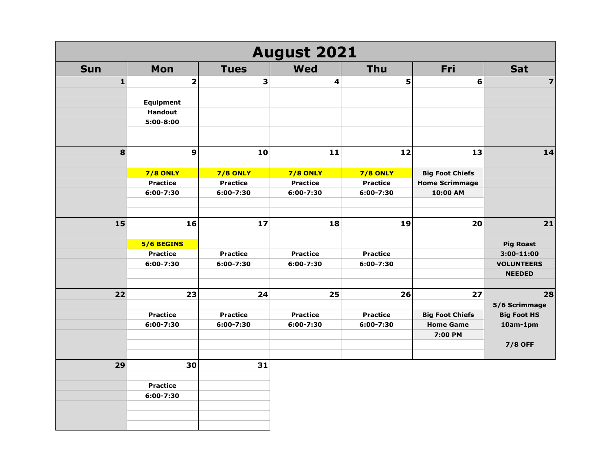| <b>August 2021</b> |                              |                              |                              |                              |                        |                                 |  |
|--------------------|------------------------------|------------------------------|------------------------------|------------------------------|------------------------|---------------------------------|--|
| <b>Sun</b>         | Mon                          | <b>Tues</b>                  | Wed                          | <b>Thu</b>                   | Fri                    | <b>Sat</b>                      |  |
| $\mathbf{1}$       | $\overline{\mathbf{2}}$      | 3                            | 4                            | 5                            | 6                      | $\overline{\mathbf{z}}$         |  |
|                    |                              |                              |                              |                              |                        |                                 |  |
|                    | <b>Equipment</b>             |                              |                              |                              |                        |                                 |  |
|                    | <b>Handout</b>               |                              |                              |                              |                        |                                 |  |
|                    | $5:00 - 8:00$                |                              |                              |                              |                        |                                 |  |
| 8                  | 9                            | 10                           | 11                           | 12                           | 13                     | 14                              |  |
|                    |                              |                              |                              |                              |                        |                                 |  |
|                    | <b>7/8 ONLY</b>              | <b>7/8 ONLY</b>              | <b>7/8 ONLY</b>              | <b>7/8 ONLY</b>              | <b>Big Foot Chiefs</b> |                                 |  |
|                    | <b>Practice</b>              | <b>Practice</b>              | <b>Practice</b>              | <b>Practice</b>              | <b>Home Scrimmage</b>  |                                 |  |
|                    | 6:00-7:30                    | 6:00-7:30                    | 6:00-7:30                    | 6:00-7:30                    | 10:00 AM               |                                 |  |
|                    |                              |                              |                              |                              |                        |                                 |  |
| 15                 | 16                           | 17                           | 18                           | 19                           | 20                     | $21$                            |  |
|                    |                              |                              |                              |                              |                        |                                 |  |
|                    | 5/6 BEGINS                   |                              |                              |                              |                        | <b>Pig Roast</b>                |  |
|                    | <b>Practice</b><br>6:00-7:30 | <b>Practice</b><br>6:00-7:30 | <b>Practice</b><br>6:00-7:30 | <b>Practice</b><br>6:00-7:30 |                        | 3:00-11:00<br><b>VOLUNTEERS</b> |  |
|                    |                              |                              |                              |                              |                        | <b>NEEDED</b>                   |  |
|                    |                              |                              |                              |                              |                        |                                 |  |
| 22                 | 23                           | 24                           | 25                           | 26                           | 27                     | 28                              |  |
|                    |                              |                              |                              |                              |                        | 5/6 Scrimmage                   |  |
|                    | <b>Practice</b>              | <b>Practice</b>              | <b>Practice</b>              | <b>Practice</b>              | <b>Big Foot Chiefs</b> | <b>Big Foot HS</b>              |  |
|                    | 6:00-7:30                    | 6:00-7:30                    | 6:00-7:30                    | 6:00-7:30                    | <b>Home Game</b>       | 10am-1pm                        |  |
|                    |                              |                              |                              |                              | 7:00 PM                |                                 |  |
|                    |                              |                              |                              |                              |                        | <b>7/8 OFF</b>                  |  |
| 29                 | 30                           | 31                           |                              |                              |                        |                                 |  |
|                    | <b>Practice</b>              |                              |                              |                              |                        |                                 |  |
|                    | 6:00-7:30                    |                              |                              |                              |                        |                                 |  |
|                    |                              |                              |                              |                              |                        |                                 |  |
|                    |                              |                              |                              |                              |                        |                                 |  |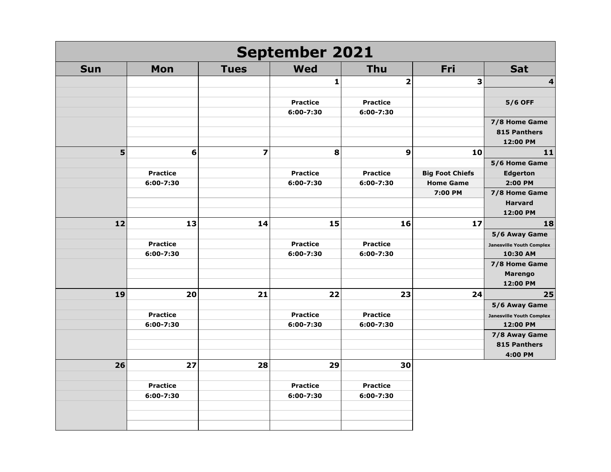| <b>September 2021</b> |                 |    |                         |                 |  |                         |                        |                                 |
|-----------------------|-----------------|----|-------------------------|-----------------|--|-------------------------|------------------------|---------------------------------|
| <b>Sun</b>            | Mon             |    | <b>Tues</b>             | <b>Wed</b>      |  | <b>Thu</b>              | Fri                    | Sat                             |
|                       |                 |    |                         | 1               |  | $\overline{\mathbf{2}}$ | 3                      | 4                               |
|                       |                 |    |                         |                 |  |                         |                        |                                 |
|                       |                 |    |                         | <b>Practice</b> |  | <b>Practice</b>         |                        | <b>5/6 OFF</b>                  |
|                       |                 |    |                         | 6:00-7:30       |  | 6:00-7:30               |                        |                                 |
|                       |                 |    |                         |                 |  |                         |                        | 7/8 Home Game                   |
|                       |                 |    |                         |                 |  |                         |                        | 815 Panthers                    |
|                       |                 |    |                         |                 |  |                         |                        | 12:00 PM                        |
| 5                     |                 | 6  | $\overline{\mathbf{z}}$ | 8               |  | $\mathbf{9}$            | 10                     | 11                              |
|                       |                 |    |                         |                 |  |                         |                        | 5/6 Home Game                   |
|                       | <b>Practice</b> |    |                         | <b>Practice</b> |  | <b>Practice</b>         | <b>Big Foot Chiefs</b> | <b>Edgerton</b>                 |
|                       | 6:00-7:30       |    |                         | 6:00-7:30       |  | 6:00-7:30               | <b>Home Game</b>       | 2:00 PM                         |
|                       |                 |    |                         |                 |  |                         | 7:00 PM                | 7/8 Home Game                   |
|                       |                 |    |                         |                 |  |                         |                        | <b>Harvard</b>                  |
|                       |                 |    |                         |                 |  |                         |                        | 12:00 PM                        |
| 12                    |                 | 13 | 14                      | 15              |  | 16                      | 17                     | 18                              |
|                       |                 |    |                         |                 |  |                         |                        | 5/6 Away Game                   |
|                       | <b>Practice</b> |    |                         | <b>Practice</b> |  | <b>Practice</b>         |                        | <b>Janesville Youth Complex</b> |
|                       | 6:00-7:30       |    |                         | 6:00-7:30       |  | 6:00-7:30               |                        | 10:30 AM                        |
|                       |                 |    |                         |                 |  |                         |                        | 7/8 Home Game                   |
|                       |                 |    |                         |                 |  |                         |                        | <b>Marengo</b>                  |
|                       |                 |    |                         |                 |  |                         |                        | 12:00 PM                        |
| 19                    |                 | 20 | 21                      | 22              |  | 23                      | 24                     | 25                              |
|                       |                 |    |                         |                 |  |                         |                        | 5/6 Away Game                   |
|                       | <b>Practice</b> |    |                         | <b>Practice</b> |  | <b>Practice</b>         |                        | <b>Janesville Youth Complex</b> |
|                       | 6:00-7:30       |    |                         | 6:00-7:30       |  | 6:00-7:30               |                        | 12:00 PM                        |
|                       |                 |    |                         |                 |  |                         |                        | 7/8 Away Game                   |
|                       |                 |    |                         |                 |  |                         |                        | 815 Panthers                    |
|                       |                 |    |                         |                 |  |                         |                        | 4:00 PM                         |
| 26                    |                 | 27 | 28                      | 29              |  | 30                      |                        |                                 |
|                       |                 |    |                         |                 |  |                         |                        |                                 |
|                       | <b>Practice</b> |    |                         | <b>Practice</b> |  | <b>Practice</b>         |                        |                                 |
|                       | 6:00-7:30       |    |                         | 6:00-7:30       |  | 6:00-7:30               |                        |                                 |
|                       |                 |    |                         |                 |  |                         |                        |                                 |
|                       |                 |    |                         |                 |  |                         |                        |                                 |
|                       |                 |    |                         |                 |  |                         |                        |                                 |